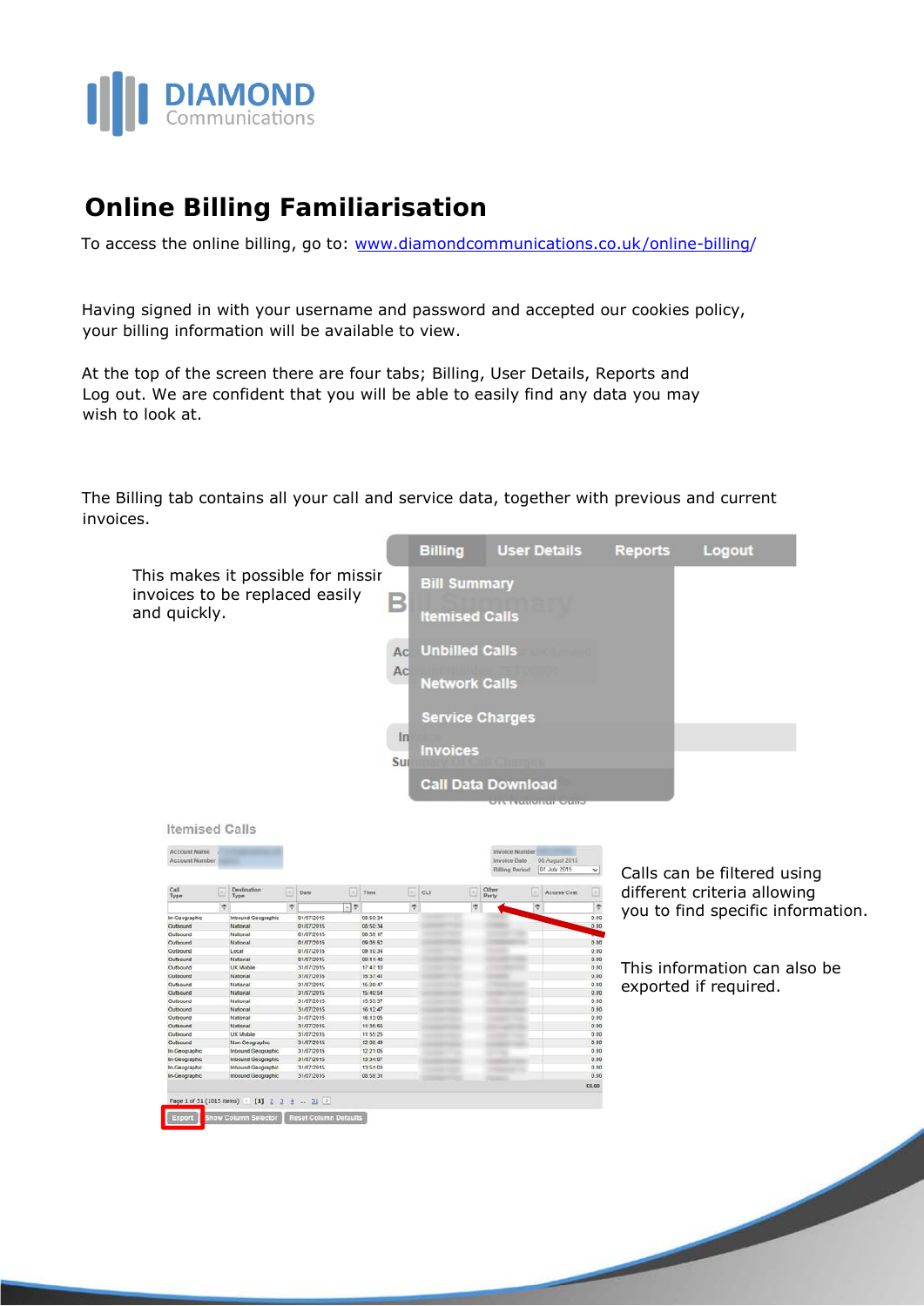

## **Online Billing Familiarisation**

To access the online billing, go to: [www.diamondcommunications.co.uk/online-billing/](https://www.diamondcommunications.co.uk/online-billing/)

Having signed in with your username and password and accepted our cookies policy, your billing information will be available to view.

At the top of the screen there are four tabs; Billing, User Details, Reports and Log out. We are confident that you will be able to easily find any data you may wish to look at.

The Billing tab contains all your call and service data, together with previous and current invoices.



| <b>Account Name</b><br><b>Account Number</b> |   |                     |   |                             |    |          |   |    |    | <b>Invoice Date</b>   | <b>Invoice Number</b> | 06 August 2015 |             |
|----------------------------------------------|---|---------------------|---|-----------------------------|----|----------|---|----|----|-----------------------|-----------------------|----------------|-------------|
|                                              |   |                     |   |                             |    |          |   |    |    | <b>Billing Period</b> |                       | 01 July 2015   | $\check{~}$ |
| Call<br>Type                                 | w | Destination<br>Type | E | Date                        | e  | Time     | Ξ | cu | E  | Other<br>Party        | l w                   | Access Cost    | Ξ           |
|                                              | v |                     | Ÿ |                             | লক |          | ę |    | Ŷ. |                       | Ŷ.                    |                | Ÿ           |
| In-Geographic                                |   | Inbound Geographic  |   | 01/07/2015                  |    | 08:50:34 |   |    |    |                       |                       |                | 0.00        |
| Outbound                                     |   | National            |   | 01/07/2015                  |    | 08:50:34 |   |    |    |                       |                       |                | 0.00        |
| Outbound                                     |   | National            |   | 01/07/2015                  |    | 08 59 17 |   |    |    |                       |                       |                |             |
| Outbound                                     |   | National            |   | 01/07/2015                  |    | 09 05:52 |   |    |    |                       |                       |                | 0.00        |
| Outbound                                     |   | Local               |   | 01/07/2015                  |    | 09.10.34 |   |    |    |                       |                       |                | 0.00        |
| Outbound                                     |   | National            |   | 01/07/2015                  |    | 09:11:40 |   |    |    |                       |                       |                | 0.00        |
| Outhound                                     |   | LIK Mobile          |   | 31/07/2015                  |    | 17:47:10 |   |    |    |                       |                       |                | 0.00        |
| Outbound                                     |   | National            |   | 31/07/2015                  |    | 15:37:41 |   |    |    |                       |                       |                | 0.00        |
| Outbound                                     |   | National            |   | 31/07/2015                  |    | 15:38:47 |   |    |    |                       |                       |                | 0.00        |
| Outbound                                     |   | National            |   | 31/07/2015                  |    | 15:40:54 |   |    |    |                       |                       |                | 0.00        |
| Outbound                                     |   | National            |   | 31/07/2015                  |    | 15:53:37 |   |    |    |                       |                       |                | 0.00        |
| Outbound                                     |   | National            |   | 31/07/2015                  |    | 16:12:47 |   |    |    |                       |                       |                | 0.00        |
| Outbound                                     |   | National            |   | 31/07/2015                  |    | 16:13:05 |   |    |    |                       |                       |                | 0.00        |
| Outbound                                     |   | National            |   | 31/07/2015                  |    | 11:35:56 |   |    |    |                       |                       |                | 0.00        |
| Outbound                                     |   | <b>UK Mobile</b>    |   | 31/07/2015                  |    | 11:55:25 |   |    |    |                       |                       |                | 0.00        |
| Outbound                                     |   | Non-Geographic      |   | 31/07/2015                  |    | 12.00:49 |   |    |    |                       |                       |                | 0.00        |
| In-Geographic                                |   | Inbound Geographic  |   | 31/07/2015                  |    | 12:21:05 |   |    |    | ٠                     |                       |                | 0.00        |
| In-Geographic                                |   | Inbound Geographic  |   | 31/07/2015                  |    | 13:34:07 |   |    |    |                       |                       |                | 0.00        |
| In-Geographic                                |   | Inbound Geographic  |   | 31/07/2015                  |    | 13:51:03 |   |    |    |                       |                       |                | 0.00        |
| In-Geographic                                |   | Inbound Geographic  |   | 31/07/2015                  |    | 08:59:31 |   |    |    |                       |                       |                | 0.00        |
|                                              |   |                     |   |                             |    |          |   |    |    |                       |                       |                | £0.00       |
|                                              |   |                     |   |                             |    |          |   |    |    |                       |                       |                |             |
| Page 1 of 51 (1015 items)                    |   |                     |   | $[1]$ $2$ $3$ $4$ $ 51$ $2$ |    |          |   |    |    |                       |                       |                |             |

Calls can be filtered using different criteria allowing you to find specific information.

This information can also be exported if required.